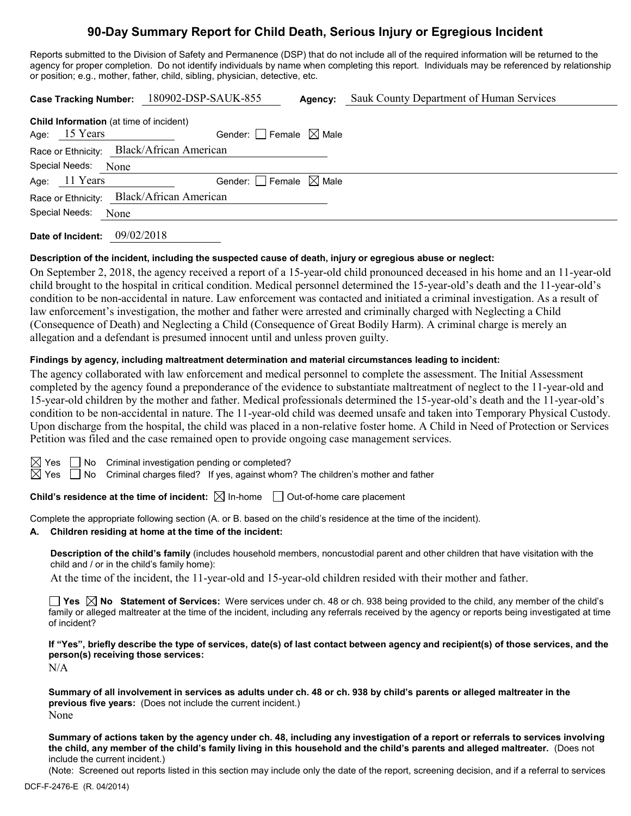# **90-Day Summary Report for Child Death, Serious Injury or Egregious Incident**

Reports submitted to the Division of Safety and Permanence (DSP) that do not include all of the required information will be returned to the agency for proper completion. Do not identify individuals by name when completing this report. Individuals may be referenced by relationship or position; e.g., mother, father, child, sibling, physician, detective, etc.

|                                                                   | Case Tracking Number: 180902-DSP-SAUK-855 | Agency: | Sauk County Department of Human Services |  |  |  |
|-------------------------------------------------------------------|-------------------------------------------|---------|------------------------------------------|--|--|--|
| <b>Child Information</b> (at time of incident)<br>Age: $15$ Years | Gender: Female $\boxtimes$ Male           |         |                                          |  |  |  |
| Race or Ethnicity: Black/African American                         |                                           |         |                                          |  |  |  |
| Special Needs: None                                               |                                           |         |                                          |  |  |  |
| Age: 11 Years                                                     | Gender: Female $\boxtimes$ Male           |         |                                          |  |  |  |
| Race or Ethnicity: Black/African American                         |                                           |         |                                          |  |  |  |
| Special Needs:<br>None                                            |                                           |         |                                          |  |  |  |
| Date of Incident:                                                 | 09/02/2018                                |         |                                          |  |  |  |

## **Description of the incident, including the suspected cause of death, injury or egregious abuse or neglect:**

On September 2, 2018, the agency received a report of a 15-year-old child pronounced deceased in his home and an 11-year-old child brought to the hospital in critical condition. Medical personnel determined the 15-year-old's death and the 11-year-old's condition to be non-accidental in nature. Law enforcement was contacted and initiated a criminal investigation. As a result of law enforcement's investigation, the mother and father were arrested and criminally charged with Neglecting a Child (Consequence of Death) and Neglecting a Child (Consequence of Great Bodily Harm). A criminal charge is merely an allegation and a defendant is presumed innocent until and unless proven guilty.

## **Findings by agency, including maltreatment determination and material circumstances leading to incident:**

The agency collaborated with law enforcement and medical personnel to complete the assessment. The Initial Assessment completed by the agency found a preponderance of the evidence to substantiate maltreatment of neglect to the 11-year-old and 15-year-old children by the mother and father. Medical professionals determined the 15-year-old's death and the 11-year-old's condition to be non-accidental in nature. The 11-year-old child was deemed unsafe and taken into Temporary Physical Custody. Upon discharge from the hospital, the child was placed in a non-relative foster home. A Child in Need of Protection or Services Petition was filed and the case remained open to provide ongoing case management services.

 $\boxtimes$  Yes  $\Box$  No Criminal investigation pending or completed?

 $\boxtimes$  Yes  $\Box$  No Criminal charges filed? If yes, against whom? The children's mother and father

**Child's residence at the time of incident:**  $\boxtimes$  In-home  $\Box$  Out-of-home care placement

Complete the appropriate following section (A. or B. based on the child's residence at the time of the incident).

## **A. Children residing at home at the time of the incident:**

**Description of the child's family** (includes household members, noncustodial parent and other children that have visitation with the child and / or in the child's family home):

At the time of the incident, the 11-year-old and 15-year-old children resided with their mother and father.

**Yes No Statement of Services:** Were services under ch. 48 or ch. 938 being provided to the child, any member of the child's family or alleged maltreater at the time of the incident, including any referrals received by the agency or reports being investigated at time of incident?

**If "Yes", briefly describe the type of services, date(s) of last contact between agency and recipient(s) of those services, and the person(s) receiving those services:**

N/A

**Summary of all involvement in services as adults under ch. 48 or ch. 938 by child's parents or alleged maltreater in the previous five years:** (Does not include the current incident.) None

**Summary of actions taken by the agency under ch. 48, including any investigation of a report or referrals to services involving the child, any member of the child's family living in this household and the child's parents and alleged maltreater.** (Does not include the current incident.)

(Note: Screened out reports listed in this section may include only the date of the report, screening decision, and if a referral to services